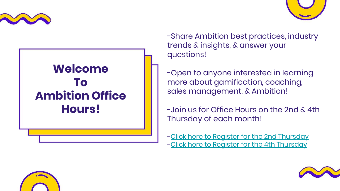





-Share Ambition best practices, industry trends & insights, & answer your questions!

-Open to anyone interested in learning more about gamification, coaching, sales management, & Ambition!

-Join us for Office Hours on the 2nd & 4th Thursday of each month!

[-Click here to Register for the 2nd Thursday](https://zoom.us/webinar/register/WN_LbEQLb6GROKuitmICxf6uA) [-Click here to Register for the 4th Thursday](https://zoom.us/webinar/register/WN_Nksy_lPqRCC4lGeE4CtbxA)



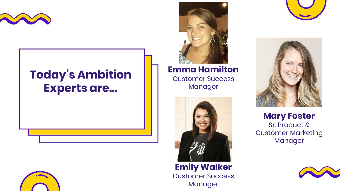

## **Today's Ambition Experts are...**





**Emma Hamilton**

Customer Success Manager





**Mary Foster** Sr. Product & Customer Marketing Manager

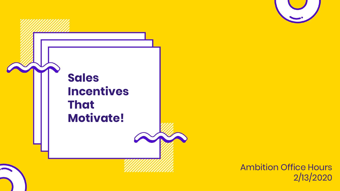



Ambition Office Hours 2/13/2020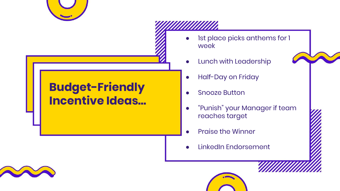

## **Budget-Friendly Incentive Ideas...**

- Ist place picks anthems for 1 week
- **Lunch with Leadership**

- Half-Day on Friday
- Snooze Button
- "Punish" your Manager if team reaches target
- **Praise the Winner**
- LinkedIn Endorsement

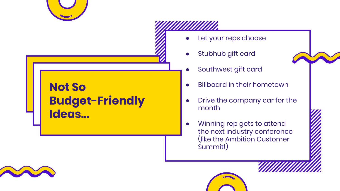

## **Not So Budget-Friendly Ideas...**

- Let your reps choose
- Stubhub gift card



- Southwest gift card
- **Billboard in their hometown**
- Drive the company car for the month
- Winning rep gets to attend the next industry conference (like the Ambition Customer Summit!)

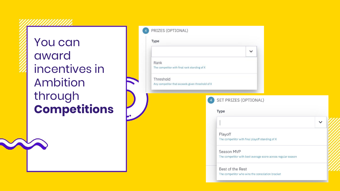You can award incentives in Ambition through **Competitions**

| Type                                                          |                                                                            |              |  |  |              |
|---------------------------------------------------------------|----------------------------------------------------------------------------|--------------|--|--|--------------|
|                                                               |                                                                            | $\checkmark$ |  |  |              |
| Rank<br>The competitor with final rank standing of X          |                                                                            |              |  |  |              |
| Threshold<br>Any competitor that exceeds given threshold of X |                                                                            |              |  |  |              |
|                                                               | SET PRIZES (OPTIONAL)<br>$\overline{4}$                                    |              |  |  |              |
|                                                               | Type                                                                       |              |  |  | $\checkmark$ |
|                                                               | Playoff<br>The competitor with final playoff standing of X                 |              |  |  |              |
|                                                               | Season MVP<br>The competitor with best average score across regular season |              |  |  |              |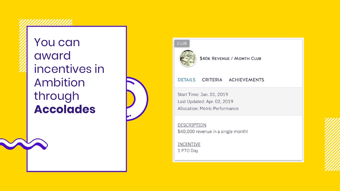You can award incentives in Ambition through **Accolades**







\$40K REVENUE / MONTH CLUB

## **DETAILS** CRITERIA ACHIEVEMENTS

Start Time: Jan. 01, 2019 Last Updated: Apr. 02, 2019 Allocation: Metric Performance

DESCRIPTION \$40,000 revenue in a single month!

INCENTIVE 1 PTO Day

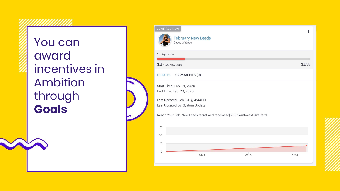You can award incentives in Ambition through **Goals**